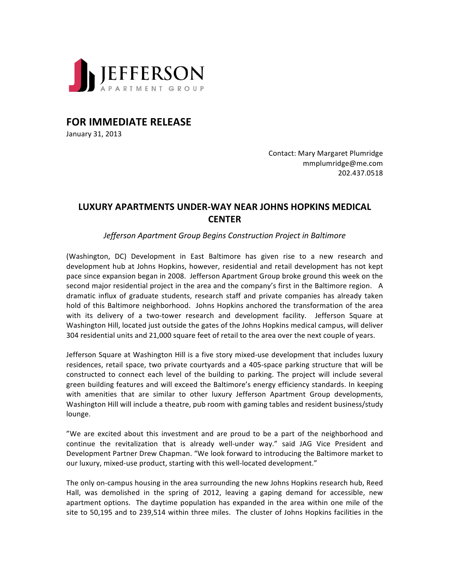

**FOR IMMEDIATE RELEASE** 

January 31, 2013

Contact: Mary Margaret Plumridge mmplumridge@me.com 202.437.0518

## **LUXURY APARTMENTS UNDER-WAY NEAR JOHNS HOPKINS MEDICAL CENTER**

*Jefferson Apartment Group Begins Construction Project in Baltimore*

(Washington, DC) Development in East Baltimore has given rise to a new research and development hub at Johns Hopkins, however, residential and retail development has not kept pace since expansion began in 2008. Jefferson Apartment Group broke ground this week on the second major residential project in the area and the company's first in the Baltimore region. A dramatic influx of graduate students, research staff and private companies has already taken hold of this Baltimore neighborhood. Johns Hopkins anchored the transformation of the area with its delivery of a two-tower research and development facility. Jefferson Square at Washington Hill, located just outside the gates of the Johns Hopkins medical campus, will deliver 304 residential units and 21,000 square feet of retail to the area over the next couple of years.

Jefferson Square at Washington Hill is a five story mixed-use development that includes luxury residences, retail space, two private courtyards and a 405-space parking structure that will be constructed to connect each level of the building to parking. The project will include several green building features and will exceed the Baltimore's energy efficiency standards. In keeping with amenities that are similar to other luxury Jefferson Apartment Group developments, Washington Hill will include a theatre, pub room with gaming tables and resident business/study lounge.

"We are excited about this investment and are proud to be a part of the neighborhood and continue the revitalization that is already well-under way." said JAG Vice President and Development Partner Drew Chapman. "We look forward to introducing the Baltimore market to our luxury, mixed-use product, starting with this well-located development."

The only on-campus housing in the area surrounding the new Johns Hopkins research hub, Reed Hall, was demolished in the spring of 2012, leaving a gaping demand for accessible, new apartment options. The daytime population has expanded in the area within one mile of the site to 50,195 and to 239,514 within three miles. The cluster of Johns Hopkins facilities in the